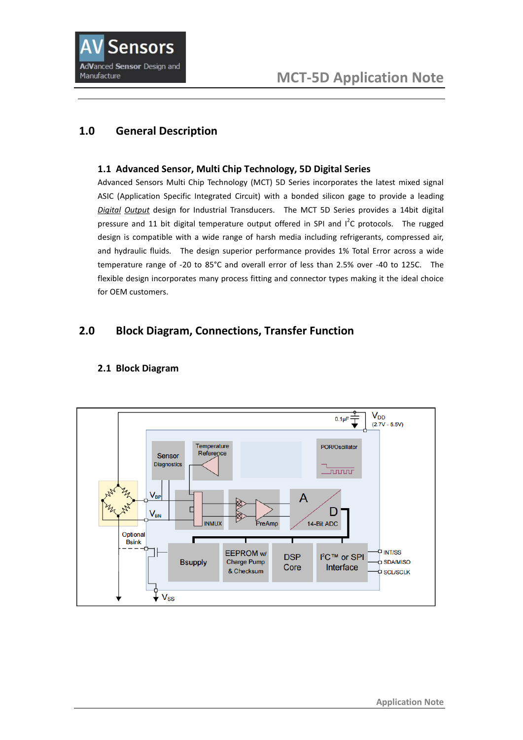

# **1.0 General Description**

#### **1.1 Advanced Sensor, Multi Chip Technology, 5D Digital Series**

Advanced Sensors Multi Chip Technology (MCT) 5D Series incorporates the latest mixed signal ASIC (Application Specific Integrated Circuit) with a bonded silicon gage to provide a leading *Digital Output* design for Industrial Transducers. The MCT 5D Series provides a 14bit digital pressure and 11 bit digital temperature output offered in SPI and  $I^2C$  protocols. The rugged design is compatible with a wide range of harsh media including refrigerants, compressed air, and hydraulic fluids. The design superior performance provides 1% Total Error across a wide temperature range of -20 to 85°C and overall error of less than 2.5% over -40 to 125C. The flexible design incorporates many process fitting and connector types making it the ideal choice for OEM customers.

## **2.0 Block Diagram, Connections, Transfer Function**



#### **2.1 Block Diagram**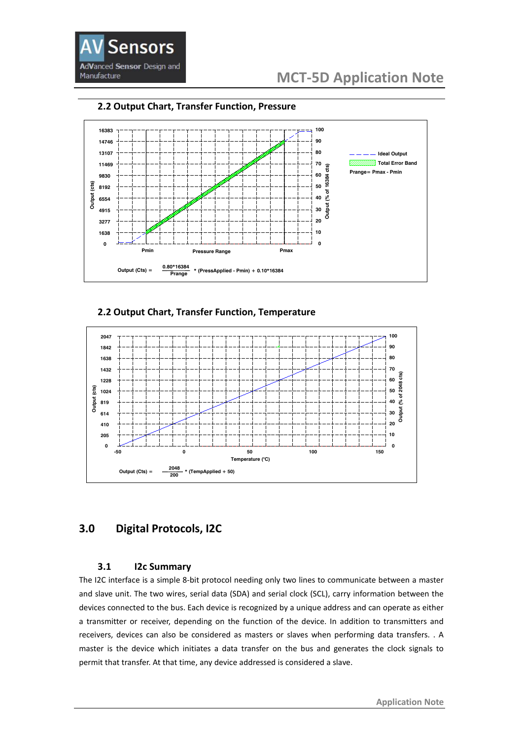



#### **2.2 Output Chart, Transfer Function, Pressure**

**2.2 Output Chart, Transfer Function, Temperature**



# **3.0 Digital Protocols, I2C**

#### **3.1 I2c Summary**

The I2C interface is a simple 8-bit protocol needing only two lines to communicate between a master and slave unit. The two wires, serial data (SDA) and serial clock (SCL), carry information between the devices connected to the bus. Each device is recognized by a unique address and can operate as either a transmitter or receiver, depending on the function of the device. In addition to transmitters and receivers, devices can also be considered as masters or slaves when performing data transfers. . A master is the device which initiates a data transfer on the bus and generates the clock signals to permit that transfer. At that time, any device addressed is considered a slave.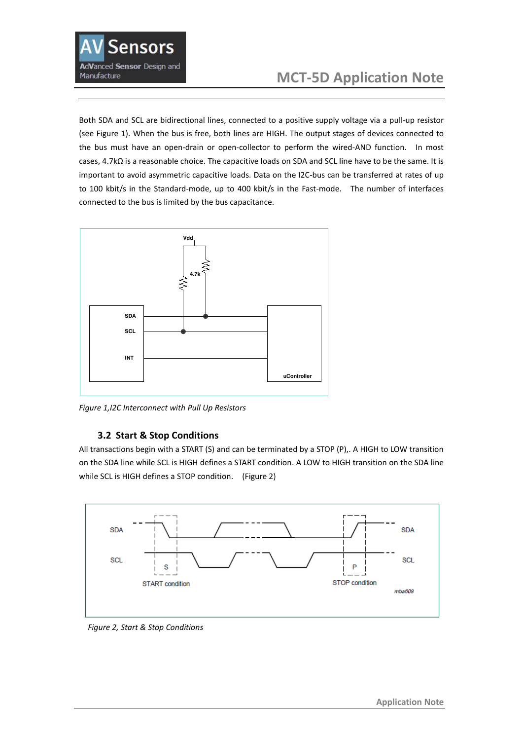

Both SDA and SCL are bidirectional lines, connected to a positive supply voltage via a pull-up resistor (see Figure 1). When the bus is free, both lines are HIGH. The output stages of devices connected to the bus must have an open-drain or open-collector to perform the wired-AND function. In most cases, 4.7kΩ is a reasonable choice. The capacitive loads on SDA and SCL line have to be the same. It is important to avoid asymmetric capacitive loads. Data on the I2C-bus can be transferred at rates of up to 100 kbit/s in the Standard-mode, up to 400 kbit/s in the Fast-mode. The number of interfaces connected to the bus is limited by the bus capacitance.



*Figure 1,I2C Interconnect with Pull Up Resistors*

#### **3.2 Start & Stop Conditions**

All transactions begin with a START (S) and can be terminated by a STOP (P),. A HIGH to LOW transition on the SDA line while SCL is HIGH defines a START condition. A LOW to HIGH transition on the SDA line while SCL is HIGH defines a STOP condition. (Figure 2)



 *Figure 2, Start & Stop Conditions*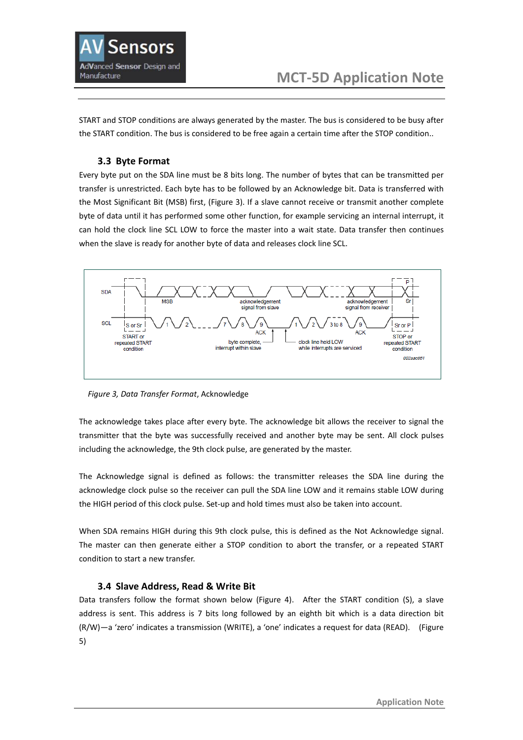

START and STOP conditions are always generated by the master. The bus is considered to be busy after the START condition. The bus is considered to be free again a certain time after the STOP condition..

#### **3.3 Byte Format**

Every byte put on the SDA line must be 8 bits long. The number of bytes that can be transmitted per transfer is unrestricted. Each byte has to be followed by an Acknowledge bit. Data is transferred with the Most Significant Bit (MSB) first, (Figure 3). If a slave cannot receive or transmit another complete byte of data until it has performed some other function, for example servicing an internal interrupt, it can hold the clock line SCL LOW to force the master into a wait state. Data transfer then continues when the slave is ready for another byte of data and releases clock line SCL.



 *Figure 3, Data Transfer Format*, Acknowledge

The acknowledge takes place after every byte. The acknowledge bit allows the receiver to signal the transmitter that the byte was successfully received and another byte may be sent. All clock pulses including the acknowledge, the 9th clock pulse, are generated by the master.

The Acknowledge signal is defined as follows: the transmitter releases the SDA line during the acknowledge clock pulse so the receiver can pull the SDA line LOW and it remains stable LOW during the HIGH period of this clock pulse. Set-up and hold times must also be taken into account.

When SDA remains HIGH during this 9th clock pulse, this is defined as the Not Acknowledge signal. The master can then generate either a STOP condition to abort the transfer, or a repeated START condition to start a new transfer.

#### **3.4 Slave Address, Read & Write Bit**

Data transfers follow the format shown below (Figure 4). After the START condition (S), a slave address is sent. This address is 7 bits long followed by an eighth bit which is a data direction bit (R/W)—a 'zero' indicates a transmission (WRITE), a 'one' indicates a request for data (READ). (Figure 5)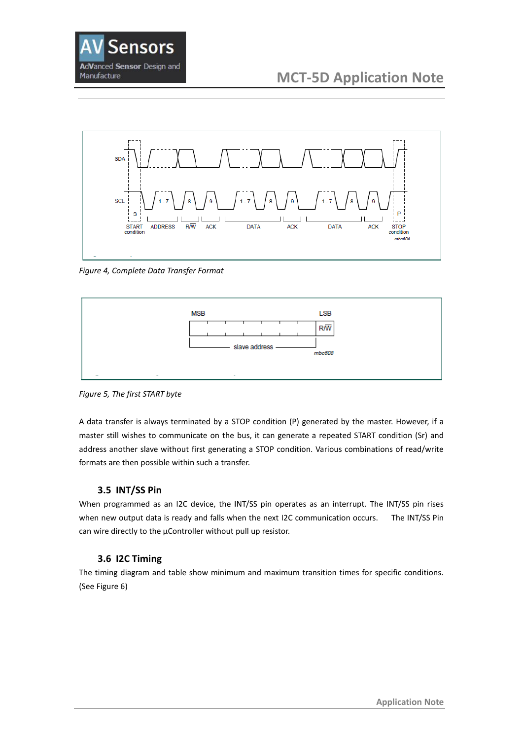



*Figure 4, Complete Data Transfer Format*



*Figure 5, The first START byte*

A data transfer is always terminated by a STOP condition (P) generated by the master. However, if a master still wishes to communicate on the bus, it can generate a repeated START condition (Sr) and address another slave without first generating a STOP condition. Various combinations of read/write formats are then possible within such a transfer.

#### **3.5 INT/SS Pin**

When programmed as an I2C device, the INT/SS pin operates as an interrupt. The INT/SS pin rises when new output data is ready and falls when the next I2C communication occurs. The INT/SS Pin can wire directly to the μController without pull up resistor.

#### **3.6 I2C Timing**

The timing diagram and table show minimum and maximum transition times for specific conditions. (See Figure 6)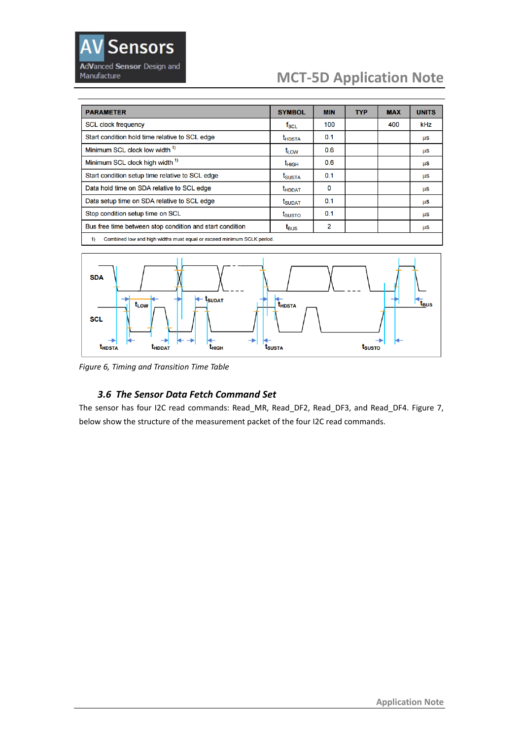

# **MCT-5D Application Note**

| <b>PARAMETER</b>                                                             | <b>SYMBOL</b>      | <b>MIN</b> | TYP | <b>MAX</b> | <b>UNITS</b> |
|------------------------------------------------------------------------------|--------------------|------------|-----|------------|--------------|
| <b>SCL clock frequency</b>                                                   | $f_{\rm SCL}$      | 100        |     | 400        | kHz          |
| Start condition hold time relative to SCL edge                               | t <sub>hdsta</sub> | 0.1        |     |            | μS           |
| Minimum SCL clock low width <sup>1)</sup>                                    | t <sub>LOW</sub>   | 0.6        |     |            | μS           |
| Minimum SCL clock high width 1)                                              | $t_{\text{HIGH}}$  | 0.6        |     |            | μS           |
| Start condition setup time relative to SCL edge                              | <b>I</b> SUSTA     | 0.1        |     |            | μS           |
| Data hold time on SDA relative to SCL edge                                   | t <sub>HDDAT</sub> | 0          |     |            | μS           |
| Data setup time on SDA relative to SCL edge                                  | t <sub>SUDAT</sub> | 0.1        |     |            | μS           |
| Stop condition setup time on SCL                                             | t <sub>susto</sub> | 0.1        |     |            | μS           |
| Bus free time between stop condition and start condition                     | $t_{\text{BUS}}$   | 2          |     |            | μS           |
| Combined low and high widths must equal or exceed minimum SCLK period.<br>1) |                    |            |     |            |              |



*Figure 6, Timing and Transition Time Table*

## *3.6 The Sensor Data Fetch Command Set*

The sensor has four I2C read commands: Read\_MR, Read\_DF2, Read\_DF3, and Read\_DF4. Figure 7, below show the structure of the measurement packet of the four I2C read commands.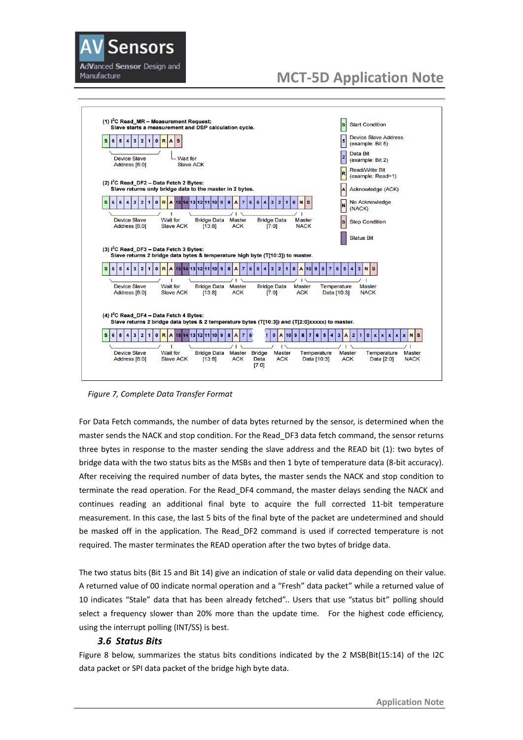



 *Figure 7, Complete Data Transfer Format*

For Data Fetch commands, the number of data bytes returned by the sensor, is determined when the master sends the NACK and stop condition. For the Read DF3 data fetch command, the sensor returns three bytes in response to the master sending the slave address and the READ bit (1): two bytes of bridge data with the two status bits as the MSBs and then 1 byte of temperature data (8-bit accuracy). After receiving the required number of data bytes, the master sends the NACK and stop condition to terminate the read operation. For the Read\_DF4 command, the master delays sending the NACK and continues reading an additional final byte to acquire the full corrected 11-bit temperature measurement. In this case, the last 5 bits of the final byte of the packet are undetermined and should be masked off in the application. The Read\_DF2 command is used if corrected temperature is not required. The master terminates the READ operation after the two bytes of bridge data.

The two status bits (Bit 15 and Bit 14) give an indication of stale or valid data depending on their value. A returned value of 00 indicate normal operation and a "Fresh" data packet" while a returned value of 10 indicates "Stale" data that has been already fetched".. Users that use "status bit" polling should select a frequency slower than 20% more than the update time. For the highest code efficiency, using the interrupt polling (INT/SS) is best.

#### *3.6 Status Bits*

Figure 8 below, summarizes the status bits conditions indicated by the 2 MSB(Bit(15:14) of the I2C data packet or SPI data packet of the bridge high byte data.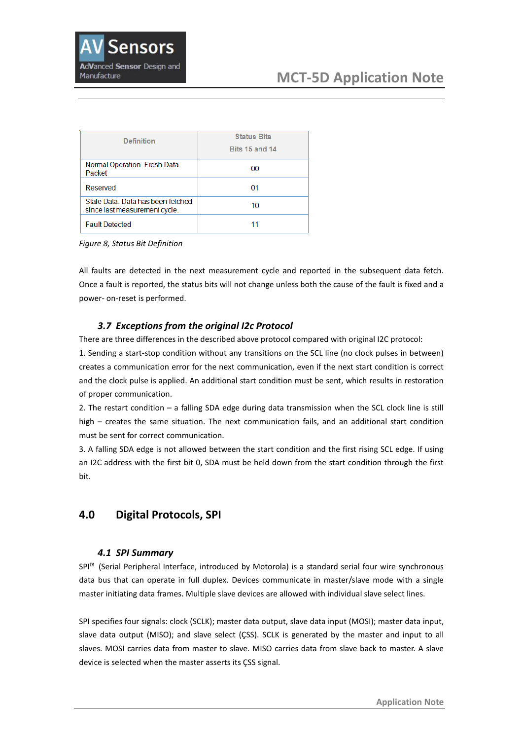| <b>Definition</b>                                                 | <b>Status Bits</b><br><b>Bits 15 and 14</b> |  |  |
|-------------------------------------------------------------------|---------------------------------------------|--|--|
| Normal Operation. Fresh Data<br>Packet                            | 00                                          |  |  |
| Reserved                                                          | 01                                          |  |  |
| Stale Data Data has been fetched<br>since last measurement cycle. | 10                                          |  |  |
| <b>Fault Detected</b>                                             |                                             |  |  |

*Figure 8, Status Bit Definition*

All faults are detected in the next measurement cycle and reported in the subsequent data fetch. Once a fault is reported, the status bits will not change unless both the cause of the fault is fixed and a power- on-reset is performed.

## *3.7 Exceptions from the original I2c Protocol*

There are three differences in the described above protocol compared with original I2C protocol:

1. Sending a start-stop condition without any transitions on the SCL line (no clock pulses in between) creates a communication error for the next communication, even if the next start condition is correct and the clock pulse is applied. An additional start condition must be sent, which results in restoration of proper communication.

2. The restart condition – a falling SDA edge during data transmission when the SCL clock line is still high – creates the same situation. The next communication fails, and an additional start condition must be sent for correct communication.

3. A falling SDA edge is not allowed between the start condition and the first rising SCL edge. If using an I2C address with the first bit 0, SDA must be held down from the start condition through the first bit.

# **4.0 Digital Protocols, SPI**

#### *4.1 SPI Summary*

SPI™ (Serial Peripheral Interface, introduced by Motorola) is a standard serial four wire synchronous data bus that can operate in full duplex. Devices communicate in master/slave mode with a single master initiating data frames. Multiple slave devices are allowed with individual slave select lines.

SPI specifies four signals: clock (SCLK); master data output, slave data input (MOSI); master data input, slave data output (MISO); and slave select (ÇSS). SCLK is generated by the master and input to all slaves. MOSI carries data from master to slave. MISO carries data from slave back to master. A slave device is selected when the master asserts its ÇSS signal.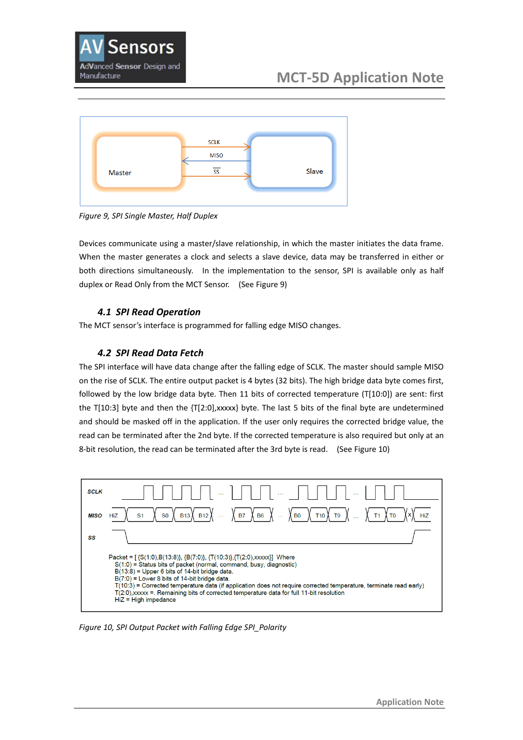



*Figure 9, SPI Single Master, Half Duplex*

Devices communicate using a master/slave relationship, in which the master initiates the data frame. When the master generates a clock and selects a slave device, data may be transferred in either or both directions simultaneously. In the implementation to the sensor, SPI is available only as half duplex or Read Only from the MCT Sensor. (See Figure 9)

#### *4.1 SPI Read Operation*

The MCT sensor's interface is programmed for falling edge MISO changes.

#### *4.2 SPI Read Data Fetch*

The SPI interface will have data change after the falling edge of SCLK. The master should sample MISO on the rise of SCLK. The entire output packet is 4 bytes (32 bits). The high bridge data byte comes first, followed by the low bridge data byte. Then 11 bits of corrected temperature (T[10:0]) are sent: first the T[10:3] byte and then the {T[2:0],xxxxx} byte. The last 5 bits of the final byte are undetermined and should be masked off in the application. If the user only requires the corrected bridge value, the read can be terminated after the 2nd byte. If the corrected temperature is also required but only at an 8-bit resolution, the read can be terminated after the 3rd byte is read. (See Figure 10)



*Figure 10, SPI Output Packet with Falling Edge SPI\_Polarity*